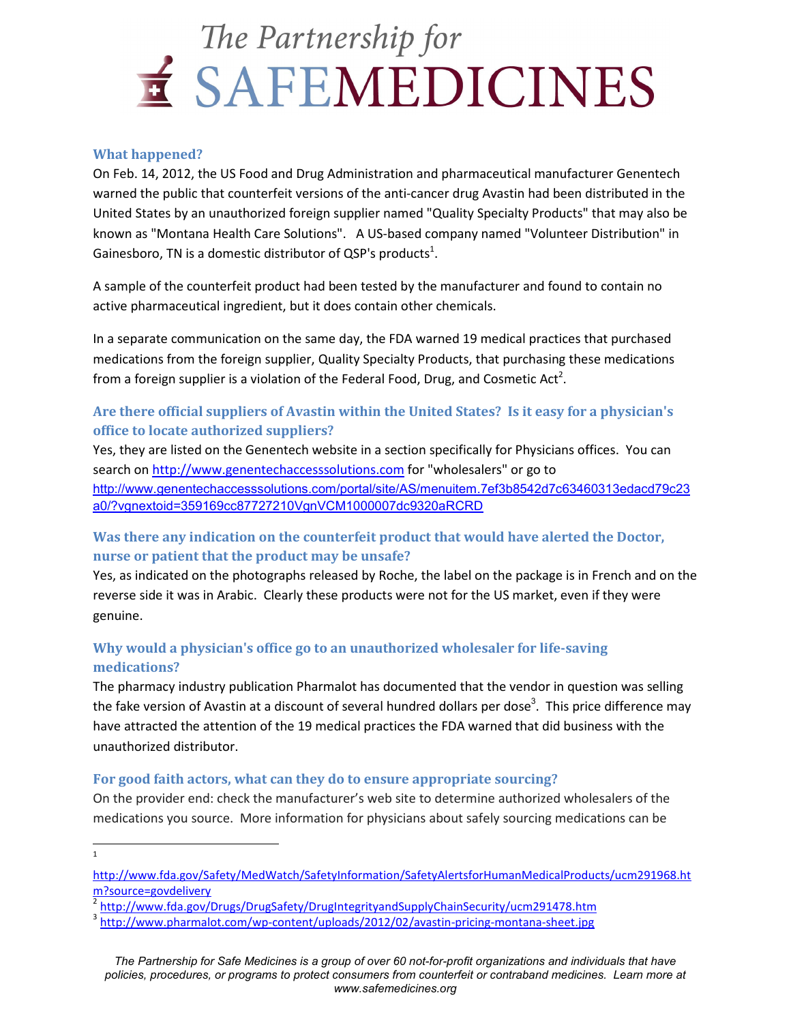# The Partnership for E SAFEMEDICINES

#### **What happened?**

On Feb. 14, 2012, the US Food and Drug Administration and pharmaceutical manufacturer Genentech warned the public that counterfeit versions of the anti-cancer drug Avastin had been distributed in the United States by an unauthorized foreign supplier named "Quality Specialty Products" that may also be known as "Montana Health Care Solutions". A US-based company named "Volunteer Distribution" in Gainesboro, TN is a domestic distributor of QSP's products<sup>1</sup>.

A sample of the counterfeit product had been tested by the manufacturer and found to contain no active pharmaceutical ingredient, but it does contain other chemicals.

In a separate communication on the same day, the FDA warned 19 medical practices that purchased medications from the foreign supplier, Quality Specialty Products, that purchasing these medications from a foreign supplier is a violation of the Federal Food, Drug, and Cosmetic Act<sup>2</sup>.

### **Are there official suppliers of Avastin within the United States? Is it easy for a physician's office to locate authorized suppliers?**

Yes, they are listed on the Genentech website in a section specifically for Physicians offices. You can search on http://www.genentechaccesssolutions.com for "wholesalers" or go to http://www.genentechaccesssolutions.com/portal/site/AS/menuitem.7ef3b8542d7c63460313edacd79c23 a0/?vgnextoid=359169cc87727210VgnVCM1000007dc9320aRCRD

### **Was there any indication on the counterfeit product that would have alerted the Doctor, nurse or patient that the product may be unsafe?**

Yes, as indicated on the photographs released by Roche, the label on the package is in French and on the reverse side it was in Arabic. Clearly these products were not for the US market, even if they were genuine.

## **Why would a physician's office go to an unauthorized wholesaler for life-saving medications?**

The pharmacy industry publication Pharmalot has documented that the vendor in question was selling the fake version of Avastin at a discount of several hundred dollars per dose<sup>3</sup>. This price difference may have attracted the attention of the 19 medical practices the FDA warned that did business with the unauthorized distributor.

#### **For good faith actors, what can they do to ensure appropriate sourcing?**

On the provider end: check the manufacturer's web site to determine authorized wholesalers of the medications you source. More information for physicians about safely sourcing medications can be

 $\frac{1}{1}$ 

http://www.fda.gov/Safety/MedWatch/SafetyInformation/SafetyAlertsforHumanMedicalProducts/ucm291968.ht m?source=govdelivery

<sup>2</sup> http://www.fda.gov/Drugs/DrugSafety/DrugIntegrityandSupplyChainSecurity/ucm291478.htm

<sup>&</sup>lt;sup>3</sup> http://www.pharmalot.com/wp-content/uploads/2012/02/avastin-pricing-montana-sheet.jpg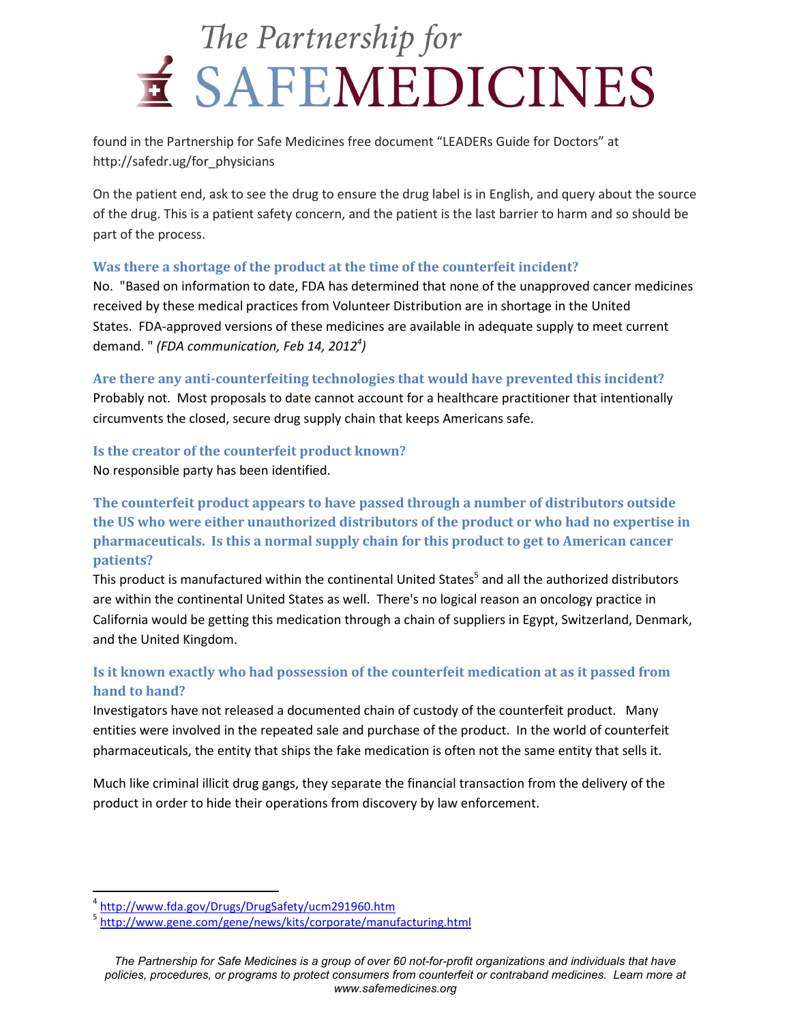# The Partnership for E SAFEMEDICINES

found in the Partnership for Safe Medicines free document "LEADERs Guide for Doctors" at http://safedr.ug/for\_physicians

On the patient end, ask to see the drug to ensure the drug label is in English, and query about the source of the drug. This is a patient safety concern, and the patient is the last barrier to harm and so should be part of the process.

#### **Was there a shortage of the product at the time of the counterfeit incident?**

No. "Based on information to date, FDA has determined that none of the unapproved cancer medicines received by these medical practices from Volunteer Distribution are in shortage in the United States. FDA-approved versions of these medicines are available in adequate supply to meet current demand. " *(FDA communication, Feb 14, 2012<sup>4</sup> )* 

#### **Are there any anti-counterfeiting technologies that would have prevented this incident?**

Probably not. Most proposals to date cannot account for a healthcare practitioner that intentionally circumvents the closed, secure drug supply chain that keeps Americans safe.

#### **Is the creator of the counterfeit product known?**

No responsible party has been identified.

## **The counterfeit product appears to have passed through a number of distributors outside the US who were either unauthorized distributors of the product or who had no expertise in pharmaceuticals. Is this a normal supply chain for this product to get to American cancer patients?**

This product is manufactured within the continental United States<sup>5</sup> and all the authorized distributors are within the continental United States as well. There's no logical reason an oncology practice in California would be getting this medication through a chain of suppliers in Egypt, Switzerland, Denmark, and the United Kingdom.

## **Is it known exactly who had possession of the counterfeit medication at as it passed from hand to hand?**

Investigators have not released a documented chain of custody of the counterfeit product. Many entities were involved in the repeated sale and purchase of the product. In the world of counterfeit pharmaceuticals, the entity that ships the fake medication is often not the same entity that sells it.

Much like criminal illicit drug gangs, they separate the financial transaction from the delivery of the product in order to hide their operations from discovery by law enforcement.

<u>.</u>

<sup>4</sup> http://www.fda.gov/Drugs/DrugSafety/ucm291960.htm

<sup>&</sup>lt;sup>5</sup> http://www.gene.com/gene/news/kits/corporate/manufacturing.html

*The Partnership for Safe Medicines is a group of over 60 not-for-profit organizations and individuals that have policies, procedures, or programs to protect consumers from counterfeit or contraband medicines. Learn more at www.safemedicines.org*